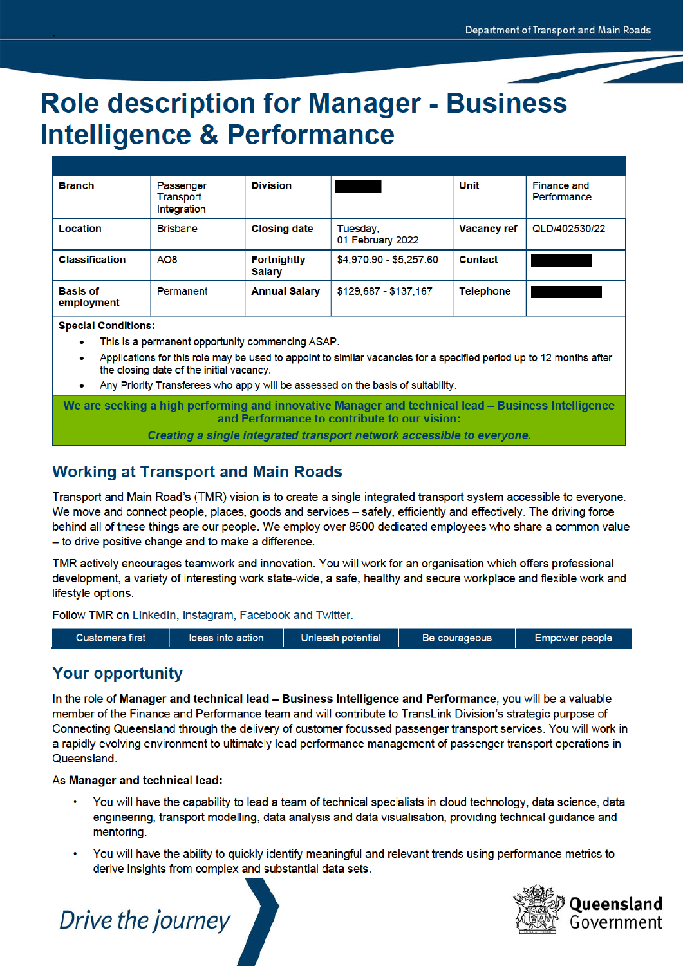# **Role description for Manager - Business Intelligence & Performance**

| <b>Branch</b>                 | Passenger<br>Transport<br>Integration | <b>Division</b>                     |                              | Unit               | Finance and<br>Performance |
|-------------------------------|---------------------------------------|-------------------------------------|------------------------------|--------------------|----------------------------|
| Location                      | <b>Brisbane</b>                       | <b>Closing date</b>                 | Tuesday,<br>01 February 2022 | <b>Vacancy ref</b> | QLD/402530/22              |
| <b>Classification</b>         | AO <sub>8</sub>                       | <b>Fortnightly</b><br><b>Salary</b> | \$4,970.90 - \$5,257.60      | Contact            |                            |
| <b>Basis of</b><br>employment | Permanent                             | <b>Annual Salary</b>                | \$129,687 - \$137,167        | <b>Telephone</b>   |                            |

**Special Conditions:** 

- This is a permanent opportunity commencing ASAP.
- Applications for this role may be used to appoint to similar vacancies for a specified period up to 12 months after the closing date of the initial vacancy.
- Any Priority Transferees who apply will be assessed on the basis of suitability.

We are seeking a high performing and innovative Manager and technical lead – Business Intelligence and Performance to contribute to our vision: Creating a single integrated transport network accessible to everyone.

## **Working at Transport and Main Roads**

Transport and Main Road's (TMR) vision is to create a single integrated transport system accessible to everyone. We move and connect people, places, goods and services – safely, efficiently and effectively. The driving force behind all of these things are our people. We employ over 8500 dedicated employees who share a common value - to drive positive change and to make a difference.

TMR actively encourages teamwork and innovation. You will work for an organisation which offers professional development, a variety of interesting work state-wide, a safe, healthy and secure workplace and flexible work and lifestyle options.

Follow TMR on LinkedIn, Instagram, Facebook and Twitter.



### **Your opportunity**

In the role of Manager and technical lead – Business Intelligence and Performance, you will be a valuable member of the Finance and Performance team and will contribute to TransLink Division's strategic purpose of Connecting Queensland through the delivery of customer focussed passenger transport services. You will work in a rapidly evolving environment to ultimately lead performance management of passenger transport operations in Queensland.

As Manager and technical lead:

- You will have the capability to lead a team of technical specialists in cloud technology, data science, data engineering, transport modelling, data analysis and data visualisation, providing technical guidance and mentoring.
- You will have the ability to quickly identify meaningful and relevant trends using performance metrics to derive insights from complex and substantial data sets.



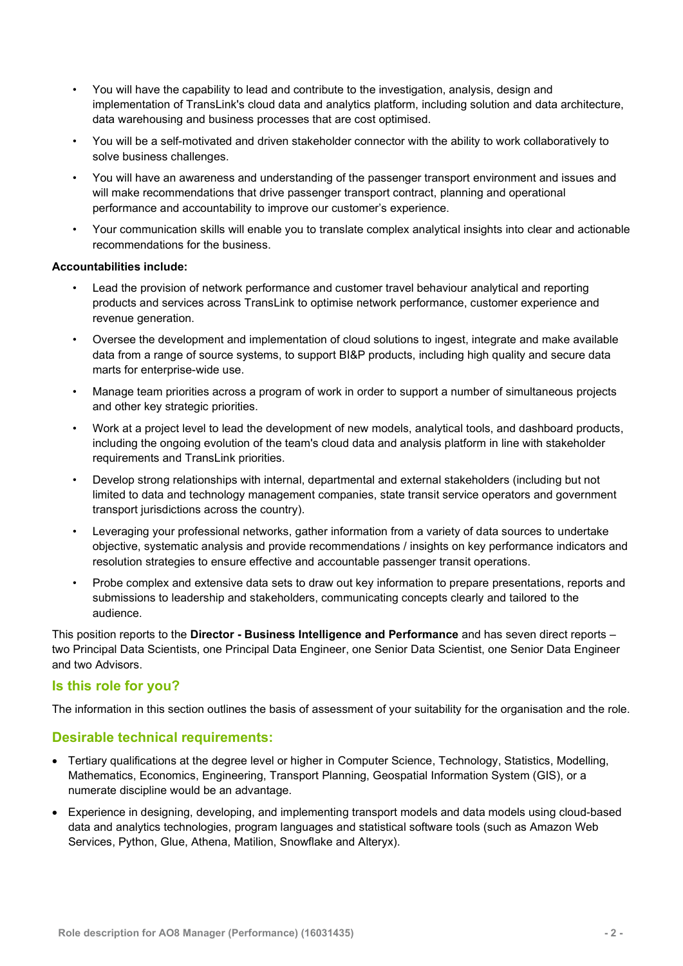- You will have the capability to lead and contribute to the investigation, analysis, design and implementation of TransLink's cloud data and analytics platform, including solution and data architecture, data warehousing and business processes that are cost optimised.
- You will be a self-motivated and driven stakeholder connector with the ability to work collaboratively to solve business challenges.
- You will have an awareness and understanding of the passenger transport environment and issues and will make recommendations that drive passenger transport contract, planning and operational performance and accountability to improve our customer's experience.
- Your communication skills will enable you to translate complex analytical insights into clear and actionable recommendations for the business.

#### Accountabilities include:

- Lead the provision of network performance and customer travel behaviour analytical and reporting products and services across TransLink to optimise network performance, customer experience and revenue generation.
- Oversee the development and implementation of cloud solutions to ingest, integrate and make available data from a range of source systems, to support BI&P products, including high quality and secure data marts for enterprise-wide use.
- Manage team priorities across a program of work in order to support a number of simultaneous projects and other key strategic priorities.
- Work at a project level to lead the development of new models, analytical tools, and dashboard products, including the ongoing evolution of the team's cloud data and analysis platform in line with stakeholder requirements and TransLink priorities.
- Develop strong relationships with internal, departmental and external stakeholders (including but not limited to data and technology management companies, state transit service operators and government transport jurisdictions across the country).
- Leveraging your professional networks, gather information from a variety of data sources to undertake objective, systematic analysis and provide recommendations / insights on key performance indicators and resolution strategies to ensure effective and accountable passenger transit operations.
- Probe complex and extensive data sets to draw out key information to prepare presentations, reports and submissions to leadership and stakeholders, communicating concepts clearly and tailored to the audience.

This position reports to the Director - Business Intelligence and Performance and has seven direct reports two Principal Data Scientists, one Principal Data Engineer, one Senior Data Scientist, one Senior Data Engineer and two Advisors.

#### Is this role for you?

The information in this section outlines the basis of assessment of your suitability for the organisation and the role.

#### Desirable technical requirements:

- Tertiary qualifications at the degree level or higher in Computer Science, Technology, Statistics, Modelling, Mathematics, Economics, Engineering, Transport Planning, Geospatial Information System (GIS), or a numerate discipline would be an advantage.
- Experience in designing, developing, and implementing transport models and data models using cloud-based data and analytics technologies, program languages and statistical software tools (such as Amazon Web Services, Python, Glue, Athena, Matilion, Snowflake and Alteryx).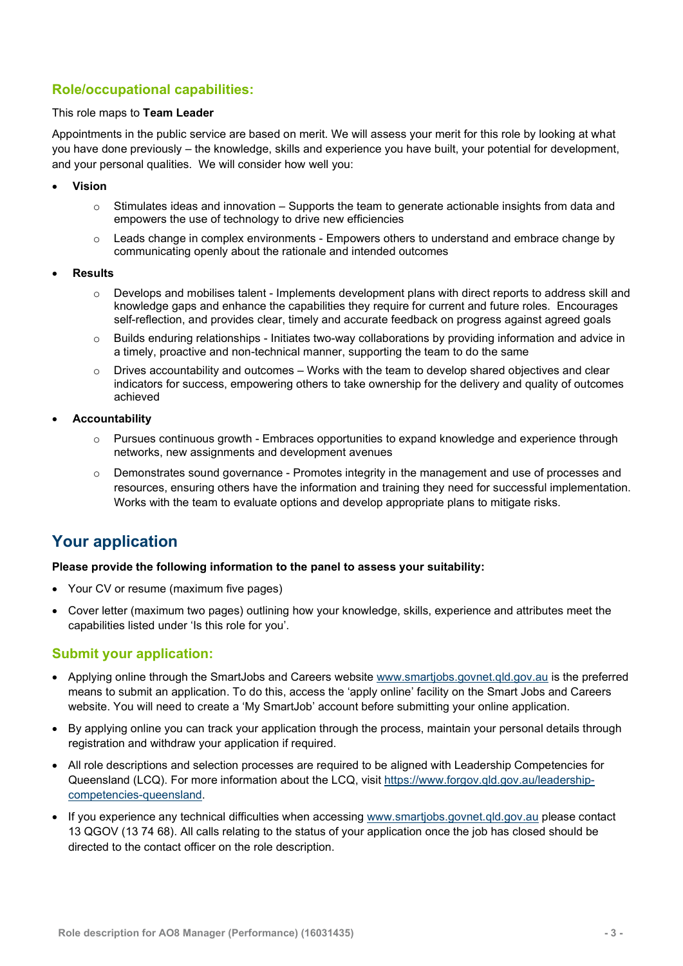#### Role/occupational capabilities:

#### This role maps to Team Leader

Appointments in the public service are based on merit. We will assess your merit for this role by looking at what you have done previously – the knowledge, skills and experience you have built, your potential for development, and your personal qualities. We will consider how well you:

- Vision
	- $\circ$  Stimulates ideas and innovation Supports the team to generate actionable insights from data and empowers the use of technology to drive new efficiencies
	- $\circ$  Leads change in complex environments Empowers others to understand and embrace change by communicating openly about the rationale and intended outcomes
- Results
	- $\circ$  Develops and mobilises talent Implements development plans with direct reports to address skill and knowledge gaps and enhance the capabilities they require for current and future roles. Encourages self-reflection, and provides clear, timely and accurate feedback on progress against agreed goals
	- o Builds enduring relationships Initiates two-way collaborations by providing information and advice in a timely, proactive and non-technical manner, supporting the team to do the same
	- $\circ$  Drives accountability and outcomes Works with the team to develop shared objectives and clear indicators for success, empowering others to take ownership for the delivery and quality of outcomes achieved
- Accountability
	- o Pursues continuous growth Embraces opportunities to expand knowledge and experience through networks, new assignments and development avenues
	- $\circ$  Demonstrates sound governance Promotes integrity in the management and use of processes and resources, ensuring others have the information and training they need for successful implementation. Works with the team to evaluate options and develop appropriate plans to mitigate risks.

## Your application

#### Please provide the following information to the panel to assess your suitability:

- Your CV or resume (maximum five pages)
- Cover letter (maximum two pages) outlining how your knowledge, skills, experience and attributes meet the capabilities listed under 'Is this role for you'.

#### Submit your application:

- Applying online through the SmartJobs and Careers website www.smartjobs.govnet.qld.gov.au is the preferred means to submit an application. To do this, access the 'apply online' facility on the Smart Jobs and Careers website. You will need to create a 'My SmartJob' account before submitting your online application.
- By applying online you can track your application through the process, maintain your personal details through registration and withdraw your application if required.
- All role descriptions and selection processes are required to be aligned with Leadership Competencies for Queensland (LCQ). For more information about the LCQ, visit https://www.forgov.qld.gov.au/leadershipcompetencies-queensland.
- If you experience any technical difficulties when accessing www.smartjobs.govnet.qld.gov.au please contact 13 QGOV (13 74 68). All calls relating to the status of your application once the job has closed should be directed to the contact officer on the role description.